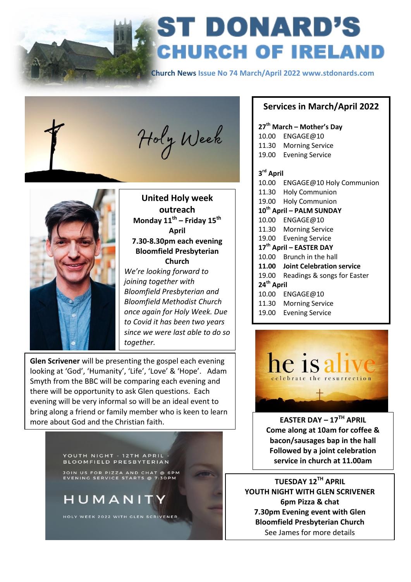

# **ST DONARD'S<br>CHURCH OF IRELAND**

 **Church News Issue No 74 March/April 2022 www.stdonards.com**





 $\overline{\phantom{a}}$ 

**United Holy week outreach Monday 11th – Friday 15th April 7.30-8.30pm each evening Bloomfield Presbyterian Church**

*We're looking forward to joining together with Bloomfield Presbyterian and Bloomfield Methodist Church once again for Holy Week. Due to Covid it has been two years since we were last able to do so together.*

**Glen Scrivener** will be presenting the gospel each evening looking at 'God', 'Humanity', 'Life', 'Love' & 'Hope'. Adam Smyth from the BBC will be comparing each evening and there will be opportunity to ask Glen questions. Each evening will be very informal so will be an ideal event to bring along a friend or family member who is keen to learn more about God and the Christian faith. **EASTER DAY – 17TH APRIL** 

YOUTH NIGHT - 12TH APRIL **BLOOMFIELD PRESBYTERIAN** 

**JOIN US FOR PIZZA AND CHAT @ 6PM**<br>EVENING SERVICE STARTS @ 7:30PM

## HUMANIT

HOLY WEEK 2022 WITH GLEN SCRIVENER

#### **Services in March/April 2022**

| 27 <sup>th</sup> March – Mother's Day |                                  |
|---------------------------------------|----------------------------------|
| 10.00                                 | ENGAGE@10                        |
|                                       | 11.30 Morning Service            |
|                                       | 19.00 Evening Service            |
| 3 <sup>rd</sup> April                 |                                  |
|                                       | 10.00 ENGAGE@10 Holy Communion   |
|                                       | 11.30 Holy Communion             |
| 19.00                                 | <b>Holy Communion</b>            |
| 10 <sup>th</sup> April - PALM SUNDAY  |                                  |
| 10.00                                 | ENGAGE@10                        |
| 11.30                                 | <b>Morning Service</b>           |
|                                       | 19.00 Evening Service            |
| 17 <sup>th</sup> April – EASTER DAY   |                                  |
| 10.00                                 | Brunch in the hall               |
| 11.00                                 | <b>Joint Celebration service</b> |
| 19.00                                 | Readings & songs for Easter      |
| 24 <sup>th</sup> April                |                                  |
| 10.00                                 | ENGAGE@10                        |
| 11.30                                 | <b>Morning Service</b>           |
| 19.00                                 | <b>Evening Service</b>           |



**Come along at 10am for coffee & bacon/sausages bap in the hall Followed by a joint celebration service in church at 11.00am**

**TUESDAY 12TH APRIL YOUTH NIGHT WITH GLEN SCRIVENER 6pm Pizza & chat 7.30pm Evening event with Glen Bloomfield Presbyterian Church** See James for more details